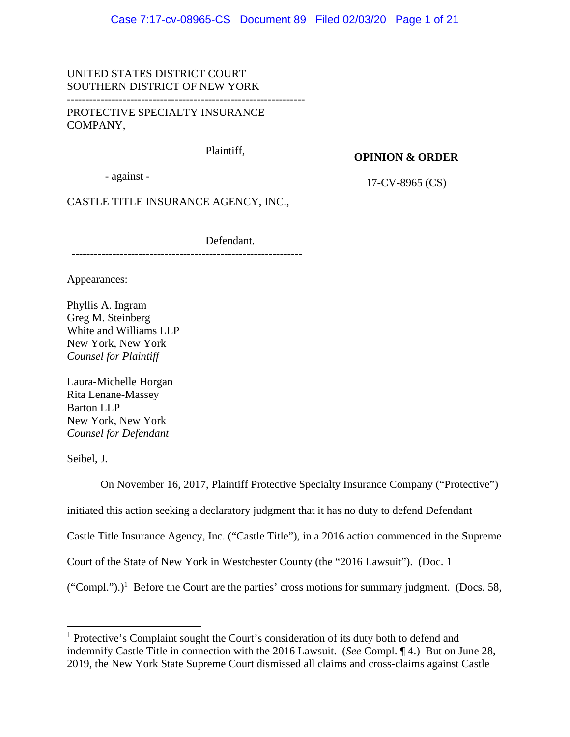## UNITED STATES DISTRICT COURT SOUTHERN DISTRICT OF NEW YORK

PROTECTIVE SPECIALTY INSURANCE COMPANY,

Plaintiff,

#### **OPINION & ORDER**

- against -

17-CV-8965 (CS)

CASTLE TITLE INSURANCE AGENCY, INC.,

--------------------------------------------------------------

Defendant.

Appearances:

Phyllis A. Ingram Greg M. Steinberg White and Williams LLP New York, New York *Counsel for Plaintiff*

Laura-Michelle Horgan Rita Lenane-Massey Barton LLP New York, New York *Counsel for Defendant* 

Seibel, J.

 On November 16, 2017, Plaintiff Protective Specialty Insurance Company ("Protective") initiated this action seeking a declaratory judgment that it has no duty to defend Defendant Castle Title Insurance Agency, Inc. ("Castle Title"), in a 2016 action commenced in the Supreme Court of the State of New York in Westchester County (the "2016 Lawsuit"). (Doc. 1  $("Compl.")$ <sup>1</sup> Before the Court are the parties' cross motions for summary judgment. (Docs. 58,

<sup>&</sup>lt;sup>1</sup> Protective's Complaint sought the Court's consideration of its duty both to defend and indemnify Castle Title in connection with the 2016 Lawsuit. (*See* Compl. ¶ 4.) But on June 28, 2019, the New York State Supreme Court dismissed all claims and cross-claims against Castle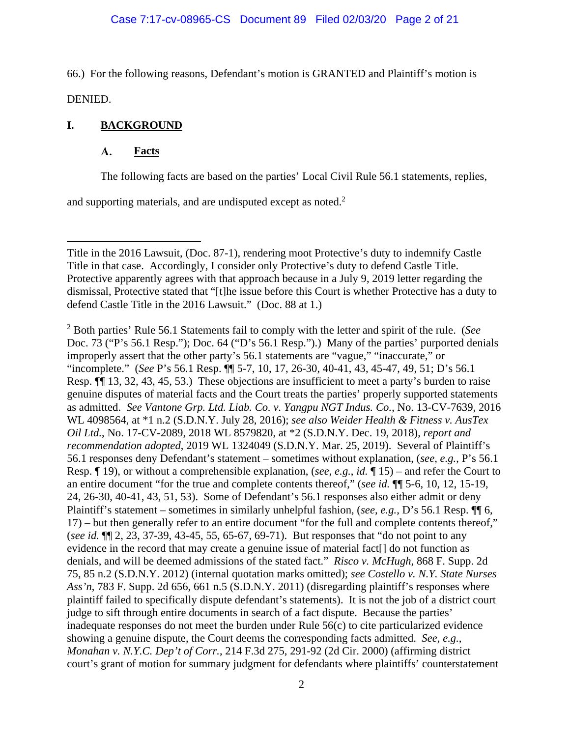66.) For the following reasons, Defendant's motion is GRANTED and Plaintiff's motion is

DENIED.

# **I. BACKGROUND**

#### **A. Facts**

The following facts are based on the parties' Local Civil Rule 56.1 statements, replies,

and supporting materials, and are undisputed except as noted.<sup>2</sup>

2 Both parties' Rule 56.1 Statements fail to comply with the letter and spirit of the rule. (*See*  Doc. 73 ("P's 56.1 Resp."); Doc. 64 ("D's 56.1 Resp.").) Many of the parties' purported denials improperly assert that the other party's 56.1 statements are "vague," "inaccurate," or "incomplete." (*See* P's 56.1 Resp. ¶¶ 5-7, 10, 17, 26-30, 40-41, 43, 45-47, 49, 51; D's 56.1 Resp. ¶¶ 13, 32, 43, 45, 53.) These objections are insufficient to meet a party's burden to raise genuine disputes of material facts and the Court treats the parties' properly supported statements as admitted. *See Vantone Grp. Ltd. Liab. Co. v. Yangpu NGT Indus. Co.*, No. 13-CV-7639, 2016 WL 4098564, at \*1 n.2 (S.D.N.Y. July 28, 2016); *see also Weider Health & Fitness v. AusTex Oil Ltd.*, No. 17-CV-2089, 2018 WL 8579820, at \*2 (S.D.N.Y. Dec. 19, 2018), *report and recommendation adopted*, 2019 WL 1324049 (S.D.N.Y. Mar. 25, 2019). Several of Plaintiff's 56.1 responses deny Defendant's statement – sometimes without explanation, (*see, e.g.*, P's 56.1 Resp. ¶ 19), or without a comprehensible explanation, (*see, e.g.*, *id.* ¶ 15) – and refer the Court to an entire document "for the true and complete contents thereof," (*see id.* ¶¶ 5-6, 10, 12, 15-19, 24, 26-30, 40-41, 43, 51, 53). Some of Defendant's 56.1 responses also either admit or deny Plaintiff's statement – sometimes in similarly unhelpful fashion, (*see, e.g.*, D's 56.1 Resp. ¶¶ 6, 17) – but then generally refer to an entire document "for the full and complete contents thereof," (*see id.* ¶¶ 2, 23, 37-39, 43-45, 55, 65-67, 69-71). But responses that "do not point to any evidence in the record that may create a genuine issue of material fact<sup>[]</sup> do not function as denials, and will be deemed admissions of the stated fact." *Risco v. McHugh*, 868 F. Supp. 2d 75, 85 n.2 (S.D.N.Y. 2012) (internal quotation marks omitted); *see Costello v. N.Y. State Nurses Ass'n*, 783 F. Supp. 2d 656, 661 n.5 (S.D.N.Y. 2011) (disregarding plaintiff's responses where plaintiff failed to specifically dispute defendant's statements). It is not the job of a district court judge to sift through entire documents in search of a fact dispute. Because the parties' inadequate responses do not meet the burden under Rule 56(c) to cite particularized evidence showing a genuine dispute, the Court deems the corresponding facts admitted. *See, e.g.*, *Monahan v. N.Y.C. Dep't of Corr.*, 214 F.3d 275, 291-92 (2d Cir. 2000) (affirming district court's grant of motion for summary judgment for defendants where plaintiffs' counterstatement

Title in the 2016 Lawsuit, (Doc. 87-1), rendering moot Protective's duty to indemnify Castle Title in that case. Accordingly, I consider only Protective's duty to defend Castle Title. Protective apparently agrees with that approach because in a July 9, 2019 letter regarding the dismissal, Protective stated that "[t]he issue before this Court is whether Protective has a duty to defend Castle Title in the 2016 Lawsuit." (Doc. 88 at 1.)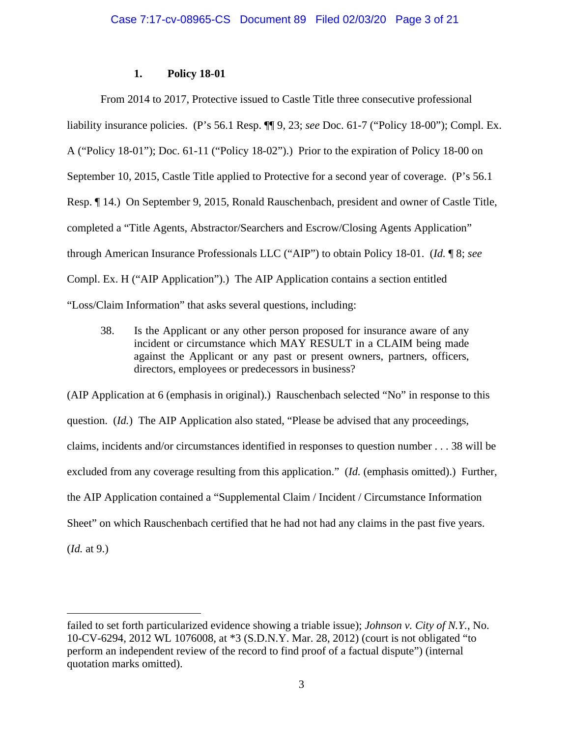## **1. Policy 18-01**

From 2014 to 2017, Protective issued to Castle Title three consecutive professional liability insurance policies. (P's 56.1 Resp. ¶¶ 9, 23; *see* Doc. 61-7 ("Policy 18-00"); Compl. Ex. A ("Policy 18-01"); Doc. 61-11 ("Policy 18-02").) Prior to the expiration of Policy 18-00 on September 10, 2015, Castle Title applied to Protective for a second year of coverage. (P's 56.1 Resp. ¶ 14.) On September 9, 2015, Ronald Rauschenbach, president and owner of Castle Title, completed a "Title Agents, Abstractor/Searchers and Escrow/Closing Agents Application" through American Insurance Professionals LLC ("AIP") to obtain Policy 18-01. (*Id.* ¶ 8; *see*  Compl. Ex. H ("AIP Application").) The AIP Application contains a section entitled "Loss/Claim Information" that asks several questions, including:

38. Is the Applicant or any other person proposed for insurance aware of any incident or circumstance which MAY RESULT in a CLAIM being made against the Applicant or any past or present owners, partners, officers, directors, employees or predecessors in business?

(AIP Application at 6 (emphasis in original).) Rauschenbach selected "No" in response to this question. (*Id.*) The AIP Application also stated, "Please be advised that any proceedings, claims, incidents and/or circumstances identified in responses to question number . . . 38 will be excluded from any coverage resulting from this application." (*Id.* (emphasis omitted).) Further, the AIP Application contained a "Supplemental Claim / Incident / Circumstance Information Sheet" on which Rauschenbach certified that he had not had any claims in the past five years. (*Id.* at 9.)

failed to set forth particularized evidence showing a triable issue); *Johnson v. City of N.Y.*, No. 10-CV-6294, 2012 WL 1076008, at \*3 (S.D.N.Y. Mar. 28, 2012) (court is not obligated "to perform an independent review of the record to find proof of a factual dispute") (internal quotation marks omitted).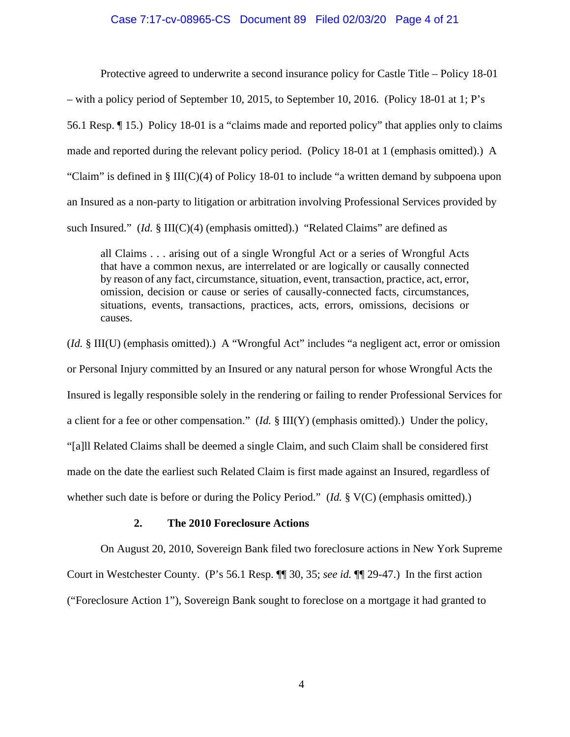#### Case 7:17-cv-08965-CS Document 89 Filed 02/03/20 Page 4 of 21

Protective agreed to underwrite a second insurance policy for Castle Title – Policy 18-01 – with a policy period of September 10, 2015, to September 10, 2016. (Policy 18-01 at 1; P's 56.1 Resp. ¶ 15.) Policy 18-01 is a "claims made and reported policy" that applies only to claims made and reported during the relevant policy period. (Policy 18-01 at 1 (emphasis omitted).) A "Claim" is defined in  $\S$  III(C)(4) of Policy 18-01 to include "a written demand by subpoena upon an Insured as a non-party to litigation or arbitration involving Professional Services provided by such Insured."  $(Id. \S \III(C)(4)$  (emphasis omitted).) "Related Claims" are defined as

all Claims . . . arising out of a single Wrongful Act or a series of Wrongful Acts that have a common nexus, are interrelated or are logically or causally connected by reason of any fact, circumstance, situation, event, transaction, practice, act, error, omission, decision or cause or series of causally-connected facts, circumstances, situations, events, transactions, practices, acts, errors, omissions, decisions or causes.

(*Id.* § III(U) (emphasis omitted).) A "Wrongful Act" includes "a negligent act, error or omission or Personal Injury committed by an Insured or any natural person for whose Wrongful Acts the Insured is legally responsible solely in the rendering or failing to render Professional Services for a client for a fee or other compensation." (*Id.* § III(Y) (emphasis omitted).) Under the policy, "[a]ll Related Claims shall be deemed a single Claim, and such Claim shall be considered first made on the date the earliest such Related Claim is first made against an Insured, regardless of whether such date is before or during the Policy Period." (*Id.* § V(C) (emphasis omitted).)

### **2. The 2010 Foreclosure Actions**

On August 20, 2010, Sovereign Bank filed two foreclosure actions in New York Supreme Court in Westchester County. (P's 56.1 Resp. ¶¶ 30, 35; *see id.* ¶¶ 29-47.) In the first action ("Foreclosure Action 1"), Sovereign Bank sought to foreclose on a mortgage it had granted to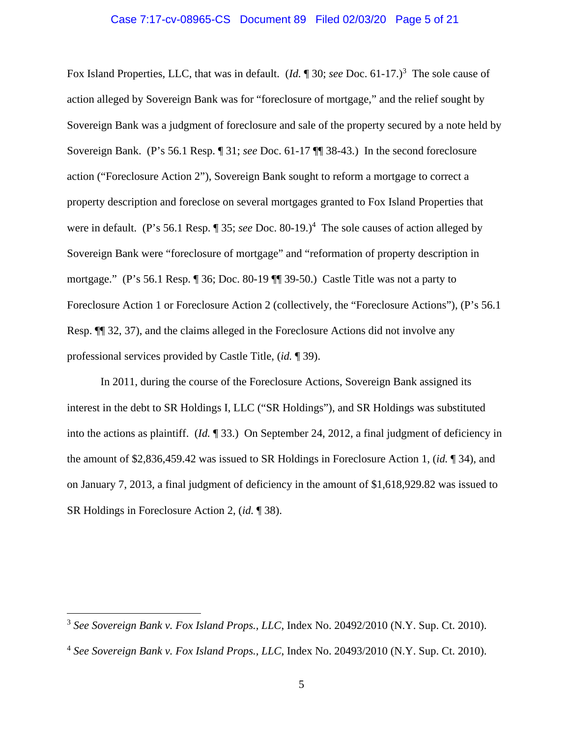#### Case 7:17-cv-08965-CS Document 89 Filed 02/03/20 Page 5 of 21

Fox Island Properties, LLC, that was in default. (*Id.* 1 30; *see* Doc. 61-17.)<sup>3</sup> The sole cause of action alleged by Sovereign Bank was for "foreclosure of mortgage," and the relief sought by Sovereign Bank was a judgment of foreclosure and sale of the property secured by a note held by Sovereign Bank. (P's 56.1 Resp. ¶ 31; *see* Doc. 61-17 ¶¶ 38-43.) In the second foreclosure action ("Foreclosure Action 2"), Sovereign Bank sought to reform a mortgage to correct a property description and foreclose on several mortgages granted to Fox Island Properties that were in default. (P's 56.1 Resp. 1 35; *see* Doc. 80-19.)<sup>4</sup> The sole causes of action alleged by Sovereign Bank were "foreclosure of mortgage" and "reformation of property description in mortgage." (P's 56.1 Resp. ¶ 36; Doc. 80-19 ¶¶ 39-50.) Castle Title was not a party to Foreclosure Action 1 or Foreclosure Action 2 (collectively, the "Foreclosure Actions"), (P's 56.1 Resp. ¶¶ 32, 37), and the claims alleged in the Foreclosure Actions did not involve any professional services provided by Castle Title, (*id.* ¶ 39).

In 2011, during the course of the Foreclosure Actions, Sovereign Bank assigned its interest in the debt to SR Holdings I, LLC ("SR Holdings"), and SR Holdings was substituted into the actions as plaintiff. (*Id.* ¶ 33.) On September 24, 2012, a final judgment of deficiency in the amount of \$2,836,459.42 was issued to SR Holdings in Foreclosure Action 1, (*id.* ¶ 34), and on January 7, 2013, a final judgment of deficiency in the amount of \$1,618,929.82 was issued to SR Holdings in Foreclosure Action 2, (*id.* ¶ 38).

<sup>3</sup> *See Sovereign Bank v. Fox Island Props., LLC*, Index No. 20492/2010 (N.Y. Sup. Ct. 2010).

<sup>4</sup> *See Sovereign Bank v. Fox Island Props., LLC*, Index No. 20493/2010 (N.Y. Sup. Ct. 2010).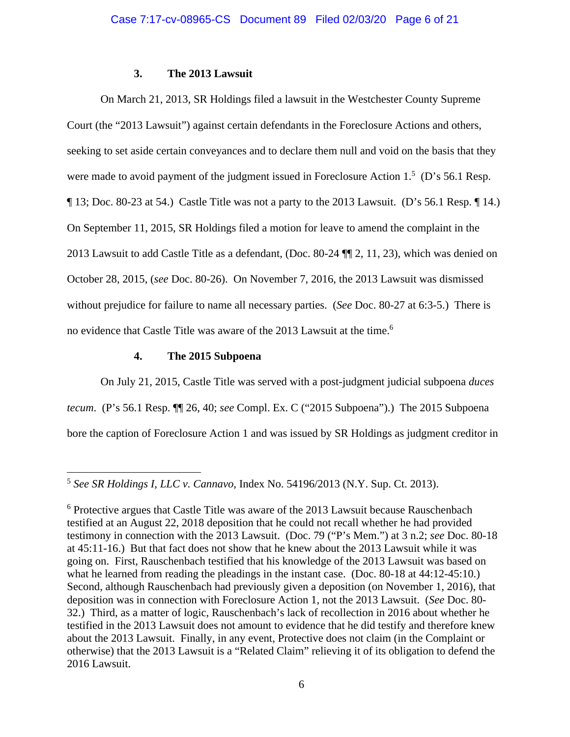## **3. The 2013 Lawsuit**

 On March 21, 2013, SR Holdings filed a lawsuit in the Westchester County Supreme Court (the "2013 Lawsuit") against certain defendants in the Foreclosure Actions and others, seeking to set aside certain conveyances and to declare them null and void on the basis that they were made to avoid payment of the judgment issued in Foreclosure Action  $1<sup>5</sup>$  (D's 56.1 Resp. ¶ 13; Doc. 80-23 at 54.) Castle Title was not a party to the 2013 Lawsuit. (D's 56.1 Resp. ¶ 14.) On September 11, 2015, SR Holdings filed a motion for leave to amend the complaint in the 2013 Lawsuit to add Castle Title as a defendant, (Doc. 80-24 ¶¶ 2, 11, 23), which was denied on October 28, 2015, (*see* Doc. 80-26). On November 7, 2016, the 2013 Lawsuit was dismissed without prejudice for failure to name all necessary parties. (*See* Doc. 80-27 at 6:3-5.) There is no evidence that Castle Title was aware of the 2013 Lawsuit at the time.6

## **4. The 2015 Subpoena**

On July 21, 2015, Castle Title was served with a post-judgment judicial subpoena *duces tecum*. (P's 56.1 Resp. ¶¶ 26, 40; *see* Compl. Ex. C ("2015 Subpoena").) The 2015 Subpoena bore the caption of Foreclosure Action 1 and was issued by SR Holdings as judgment creditor in

<sup>5</sup> *See SR Holdings I, LLC v. Cannavo*, Index No. 54196/2013 (N.Y. Sup. Ct. 2013).

<sup>&</sup>lt;sup>6</sup> Protective argues that Castle Title was aware of the 2013 Lawsuit because Rauschenbach testified at an August 22, 2018 deposition that he could not recall whether he had provided testimony in connection with the 2013 Lawsuit. (Doc. 79 ("P's Mem.") at 3 n.2; *see* Doc. 80-18 at 45:11-16.) But that fact does not show that he knew about the 2013 Lawsuit while it was going on. First, Rauschenbach testified that his knowledge of the 2013 Lawsuit was based on what he learned from reading the pleadings in the instant case. (Doc. 80-18 at 44:12-45:10.) Second, although Rauschenbach had previously given a deposition (on November 1, 2016), that deposition was in connection with Foreclosure Action 1, not the 2013 Lawsuit. (*See* Doc. 80- 32.) Third, as a matter of logic, Rauschenbach's lack of recollection in 2016 about whether he testified in the 2013 Lawsuit does not amount to evidence that he did testify and therefore knew about the 2013 Lawsuit. Finally, in any event, Protective does not claim (in the Complaint or otherwise) that the 2013 Lawsuit is a "Related Claim" relieving it of its obligation to defend the 2016 Lawsuit.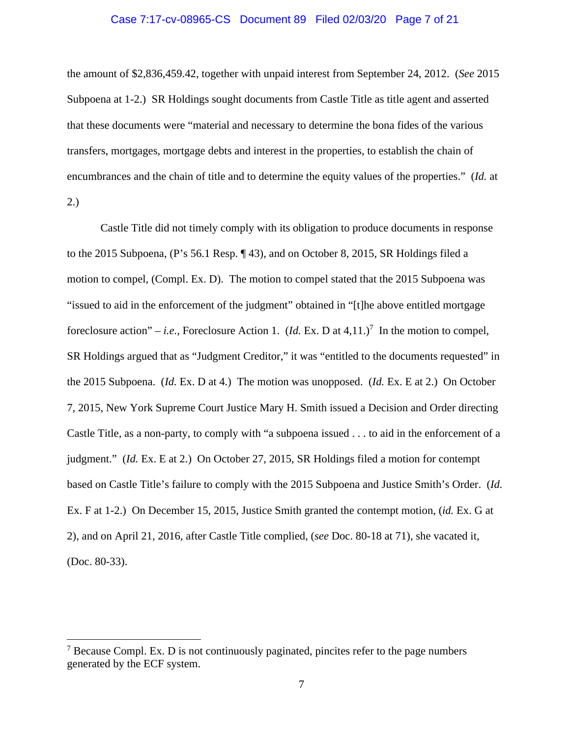#### Case 7:17-cv-08965-CS Document 89 Filed 02/03/20 Page 7 of 21

the amount of \$2,836,459.42, together with unpaid interest from September 24, 2012. (*See* 2015 Subpoena at 1-2.) SR Holdings sought documents from Castle Title as title agent and asserted that these documents were "material and necessary to determine the bona fides of the various transfers, mortgages, mortgage debts and interest in the properties, to establish the chain of encumbrances and the chain of title and to determine the equity values of the properties." (*Id.* at 2.)

 Castle Title did not timely comply with its obligation to produce documents in response to the 2015 Subpoena, (P's 56.1 Resp. ¶ 43), and on October 8, 2015, SR Holdings filed a motion to compel, (Compl. Ex. D). The motion to compel stated that the 2015 Subpoena was "issued to aid in the enforcement of the judgment" obtained in "[t]he above entitled mortgage foreclosure action" – *i.e.*, Foreclosure Action 1.  $(Id. Ex. D at 4,11.)^7$  In the motion to compel, SR Holdings argued that as "Judgment Creditor," it was "entitled to the documents requested" in the 2015 Subpoena. (*Id.* Ex. D at 4.) The motion was unopposed. (*Id.* Ex. E at 2.) On October 7, 2015, New York Supreme Court Justice Mary H. Smith issued a Decision and Order directing Castle Title, as a non-party, to comply with "a subpoena issued . . . to aid in the enforcement of a judgment." (*Id.* Ex. E at 2.) On October 27, 2015, SR Holdings filed a motion for contempt based on Castle Title's failure to comply with the 2015 Subpoena and Justice Smith's Order. (*Id.* Ex. F at 1-2.) On December 15, 2015, Justice Smith granted the contempt motion, (*id.* Ex. G at 2), and on April 21, 2016, after Castle Title complied, (*see* Doc. 80-18 at 71), she vacated it, (Doc. 80-33).

 $7$  Because Compl. Ex. D is not continuously paginated, pincites refer to the page numbers generated by the ECF system.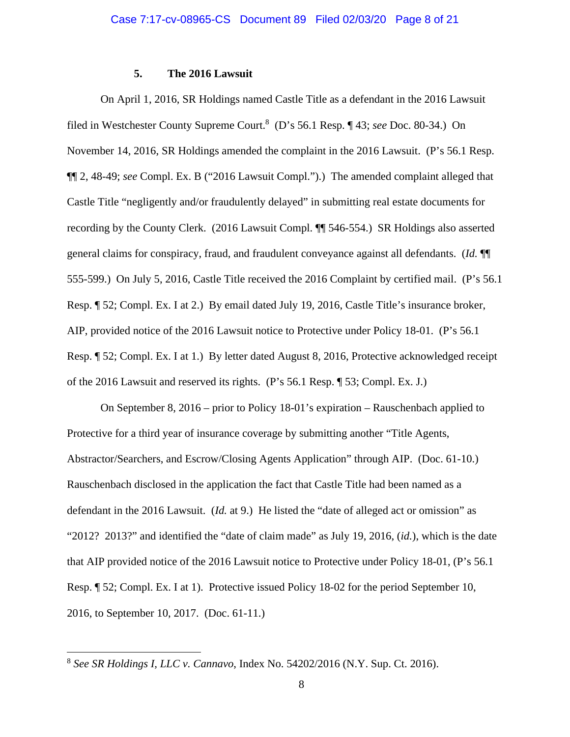## **5. The 2016 Lawsuit**

On April 1, 2016, SR Holdings named Castle Title as a defendant in the 2016 Lawsuit filed in Westchester County Supreme Court.8 (D's 56.1 Resp. ¶ 43; *see* Doc. 80-34.) On November 14, 2016, SR Holdings amended the complaint in the 2016 Lawsuit. (P's 56.1 Resp. ¶¶ 2, 48-49; *see* Compl. Ex. B ("2016 Lawsuit Compl.").) The amended complaint alleged that Castle Title "negligently and/or fraudulently delayed" in submitting real estate documents for recording by the County Clerk. (2016 Lawsuit Compl. ¶¶ 546-554.) SR Holdings also asserted general claims for conspiracy, fraud, and fraudulent conveyance against all defendants. (*Id.* ¶¶ 555-599.) On July 5, 2016, Castle Title received the 2016 Complaint by certified mail. (P's 56.1 Resp. ¶ 52; Compl. Ex. I at 2.) By email dated July 19, 2016, Castle Title's insurance broker, AIP, provided notice of the 2016 Lawsuit notice to Protective under Policy 18-01. (P's 56.1 Resp. ¶ 52; Compl. Ex. I at 1.) By letter dated August 8, 2016, Protective acknowledged receipt of the 2016 Lawsuit and reserved its rights. (P's 56.1 Resp. ¶ 53; Compl. Ex. J.)

On September 8, 2016 – prior to Policy 18-01's expiration – Rauschenbach applied to Protective for a third year of insurance coverage by submitting another "Title Agents, Abstractor/Searchers, and Escrow/Closing Agents Application" through AIP. (Doc. 61-10.) Rauschenbach disclosed in the application the fact that Castle Title had been named as a defendant in the 2016 Lawsuit. (*Id.* at 9.) He listed the "date of alleged act or omission" as "2012? 2013?" and identified the "date of claim made" as July 19, 2016, (*id.*), which is the date that AIP provided notice of the 2016 Lawsuit notice to Protective under Policy 18-01, (P's 56.1 Resp. ¶ 52; Compl. Ex. I at 1). Protective issued Policy 18-02 for the period September 10, 2016, to September 10, 2017. (Doc. 61-11.)

<sup>8</sup> *See SR Holdings I, LLC v. Cannavo*, Index No. 54202/2016 (N.Y. Sup. Ct. 2016).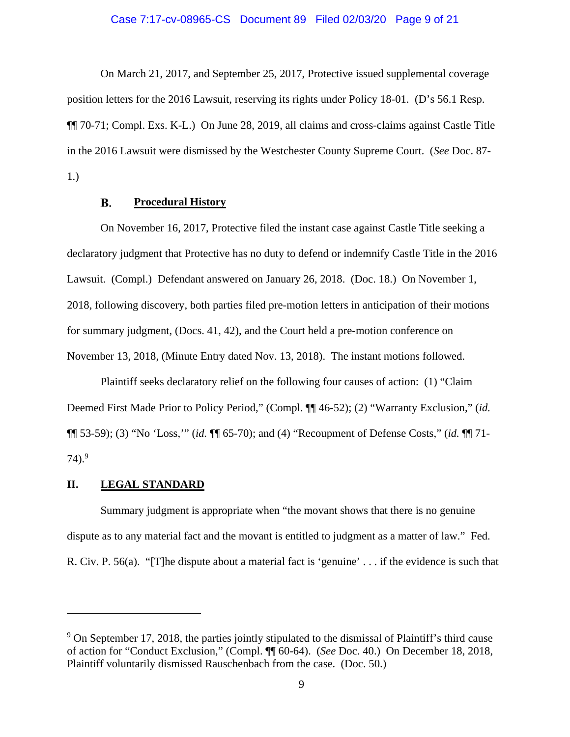#### Case 7:17-cv-08965-CS Document 89 Filed 02/03/20 Page 9 of 21

On March 21, 2017, and September 25, 2017, Protective issued supplemental coverage position letters for the 2016 Lawsuit, reserving its rights under Policy 18-01. (D's 56.1 Resp. ¶¶ 70-71; Compl. Exs. K-L.) On June 28, 2019, all claims and cross-claims against Castle Title in the 2016 Lawsuit were dismissed by the Westchester County Supreme Court. (*See* Doc. 87- 1.)

#### В. **Procedural History**

On November 16, 2017, Protective filed the instant case against Castle Title seeking a declaratory judgment that Protective has no duty to defend or indemnify Castle Title in the 2016 Lawsuit. (Compl.) Defendant answered on January 26, 2018. (Doc. 18.) On November 1, 2018, following discovery, both parties filed pre-motion letters in anticipation of their motions for summary judgment, (Docs. 41, 42), and the Court held a pre-motion conference on November 13, 2018, (Minute Entry dated Nov. 13, 2018). The instant motions followed.

Plaintiff seeks declaratory relief on the following four causes of action: (1) "Claim Deemed First Made Prior to Policy Period," (Compl. ¶¶ 46-52); (2) "Warranty Exclusion," (*id.* ¶¶ 53-59); (3) "No 'Loss,'" (*id.* ¶¶ 65-70); and (4) "Recoupment of Defense Costs," (*id.* ¶¶ 71-  $74$ ).<sup>9</sup>

### **II. LEGAL STANDARD**

Summary judgment is appropriate when "the movant shows that there is no genuine dispute as to any material fact and the movant is entitled to judgment as a matter of law." Fed. R. Civ. P. 56(a). "[T]he dispute about a material fact is 'genuine' . . . if the evidence is such that

<sup>&</sup>lt;sup>9</sup> On September 17, 2018, the parties jointly stipulated to the dismissal of Plaintiff's third cause of action for "Conduct Exclusion," (Compl. ¶¶ 60-64). (*See* Doc. 40.) On December 18, 2018, Plaintiff voluntarily dismissed Rauschenbach from the case. (Doc. 50.)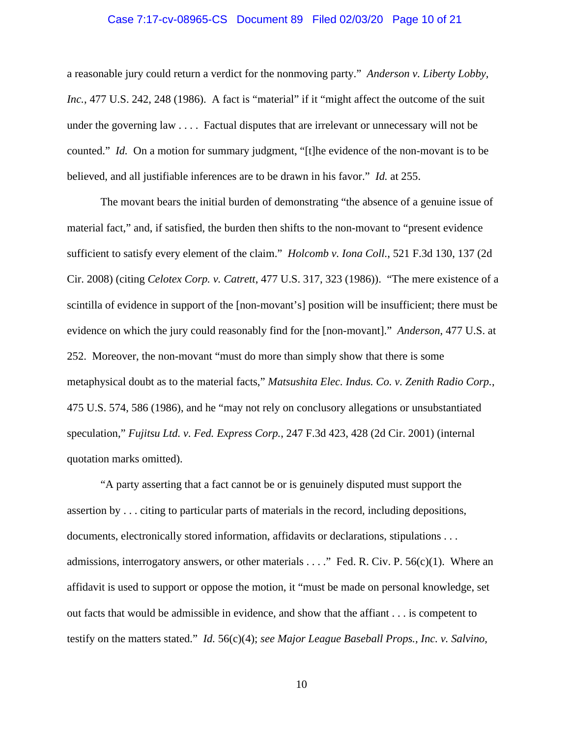#### Case 7:17-cv-08965-CS Document 89 Filed 02/03/20 Page 10 of 21

a reasonable jury could return a verdict for the nonmoving party." *Anderson v. Liberty Lobby, Inc.*, 477 U.S. 242, 248 (1986). A fact is "material" if it "might affect the outcome of the suit under the governing law . . . . Factual disputes that are irrelevant or unnecessary will not be counted." *Id.* On a motion for summary judgment, "[t]he evidence of the non-movant is to be believed, and all justifiable inferences are to be drawn in his favor." *Id.* at 255.

The movant bears the initial burden of demonstrating "the absence of a genuine issue of material fact," and, if satisfied, the burden then shifts to the non-movant to "present evidence sufficient to satisfy every element of the claim." *Holcomb v. Iona Coll.*, 521 F.3d 130, 137 (2d Cir. 2008) (citing *Celotex Corp. v. Catrett*, 477 U.S. 317, 323 (1986)). "The mere existence of a scintilla of evidence in support of the [non-movant's] position will be insufficient; there must be evidence on which the jury could reasonably find for the [non-movant]." *Anderson*, 477 U.S. at 252. Moreover, the non-movant "must do more than simply show that there is some metaphysical doubt as to the material facts," *Matsushita Elec. Indus. Co. v. Zenith Radio Corp.*, 475 U.S. 574, 586 (1986), and he "may not rely on conclusory allegations or unsubstantiated speculation," *Fujitsu Ltd. v. Fed. Express Corp.*, 247 F.3d 423, 428 (2d Cir. 2001) (internal quotation marks omitted).

"A party asserting that a fact cannot be or is genuinely disputed must support the assertion by . . . citing to particular parts of materials in the record, including depositions, documents, electronically stored information, affidavits or declarations, stipulations . . . admissions, interrogatory answers, or other materials . . . ." Fed. R. Civ. P. 56(c)(1). Where an affidavit is used to support or oppose the motion, it "must be made on personal knowledge, set out facts that would be admissible in evidence, and show that the affiant . . . is competent to testify on the matters stated." *Id.* 56(c)(4); *see Major League Baseball Props., Inc. v. Salvino,* 

10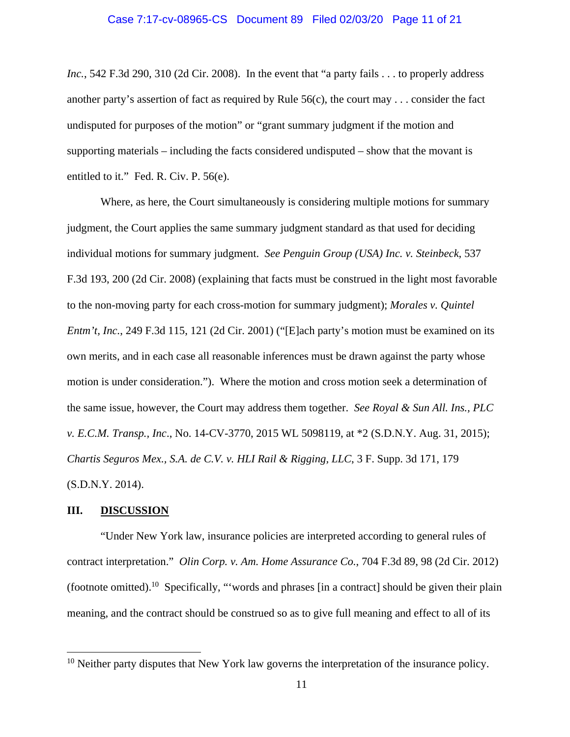# Case 7:17-cv-08965-CS Document 89 Filed 02/03/20 Page 11 of 21

*Inc.*, 542 F.3d 290, 310 (2d Cir. 2008). In the event that "a party fails . . . to properly address another party's assertion of fact as required by Rule 56(c), the court may . . . consider the fact undisputed for purposes of the motion" or "grant summary judgment if the motion and supporting materials – including the facts considered undisputed – show that the movant is entitled to it." Fed. R. Civ. P. 56(e).

Where, as here, the Court simultaneously is considering multiple motions for summary judgment, the Court applies the same summary judgment standard as that used for deciding individual motions for summary judgment. *See Penguin Group (USA) Inc. v. Steinbeck*, 537 F.3d 193, 200 (2d Cir. 2008) (explaining that facts must be construed in the light most favorable to the non-moving party for each cross-motion for summary judgment); *Morales v. Quintel Entm't, Inc.*, 249 F.3d 115, 121 (2d Cir. 2001) ("[E]ach party's motion must be examined on its own merits, and in each case all reasonable inferences must be drawn against the party whose motion is under consideration."). Where the motion and cross motion seek a determination of the same issue, however, the Court may address them together. *See Royal & Sun All. Ins., PLC v. E.C.M. Transp., Inc*., No. 14-CV-3770, 2015 WL 5098119, at \*2 (S.D.N.Y. Aug. 31, 2015); *Chartis Seguros Mex., S.A. de C.V. v. HLI Rail & Rigging, LLC*, 3 F. Supp. 3d 171, 179 (S.D.N.Y. 2014).

#### **III. DISCUSSION**

"Under New York law, insurance policies are interpreted according to general rules of contract interpretation." *Olin Corp. v. Am. Home Assurance Co.*, 704 F.3d 89, 98 (2d Cir. 2012) (footnote omitted).10 Specifically, "'words and phrases [in a contract] should be given their plain meaning, and the contract should be construed so as to give full meaning and effect to all of its

 $10$  Neither party disputes that New York law governs the interpretation of the insurance policy.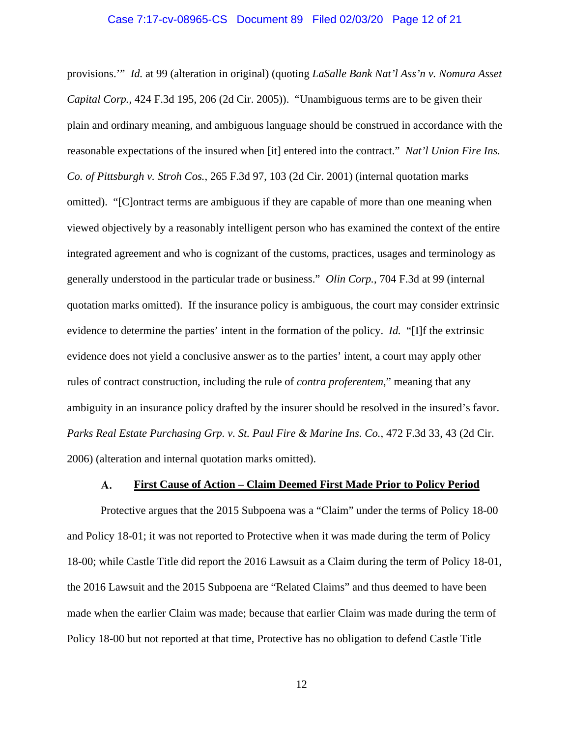#### Case 7:17-cv-08965-CS Document 89 Filed 02/03/20 Page 12 of 21

provisions.'" *Id.* at 99 (alteration in original) (quoting *LaSalle Bank Nat'l Ass'n v. Nomura Asset Capital Corp.*, 424 F.3d 195, 206 (2d Cir. 2005)). "Unambiguous terms are to be given their plain and ordinary meaning, and ambiguous language should be construed in accordance with the reasonable expectations of the insured when [it] entered into the contract." *Nat'l Union Fire Ins. Co. of Pittsburgh v. Stroh Cos.*, 265 F.3d 97, 103 (2d Cir. 2001) (internal quotation marks omitted). "[C]ontract terms are ambiguous if they are capable of more than one meaning when viewed objectively by a reasonably intelligent person who has examined the context of the entire integrated agreement and who is cognizant of the customs, practices, usages and terminology as generally understood in the particular trade or business." *Olin Corp.*, 704 F.3d at 99 (internal quotation marks omitted). If the insurance policy is ambiguous, the court may consider extrinsic evidence to determine the parties' intent in the formation of the policy. *Id.* "[I]f the extrinsic evidence does not yield a conclusive answer as to the parties' intent, a court may apply other rules of contract construction, including the rule of *contra proferentem*," meaning that any ambiguity in an insurance policy drafted by the insurer should be resolved in the insured's favor. *Parks Real Estate Purchasing Grp. v. St. Paul Fire & Marine Ins. Co.*, 472 F.3d 33, 43 (2d Cir. 2006) (alteration and internal quotation marks omitted).

#### **First Cause of Action – Claim Deemed First Made Prior to Policy Period**  A.

Protective argues that the 2015 Subpoena was a "Claim" under the terms of Policy 18-00 and Policy 18-01; it was not reported to Protective when it was made during the term of Policy 18-00; while Castle Title did report the 2016 Lawsuit as a Claim during the term of Policy 18-01, the 2016 Lawsuit and the 2015 Subpoena are "Related Claims" and thus deemed to have been made when the earlier Claim was made; because that earlier Claim was made during the term of Policy 18-00 but not reported at that time, Protective has no obligation to defend Castle Title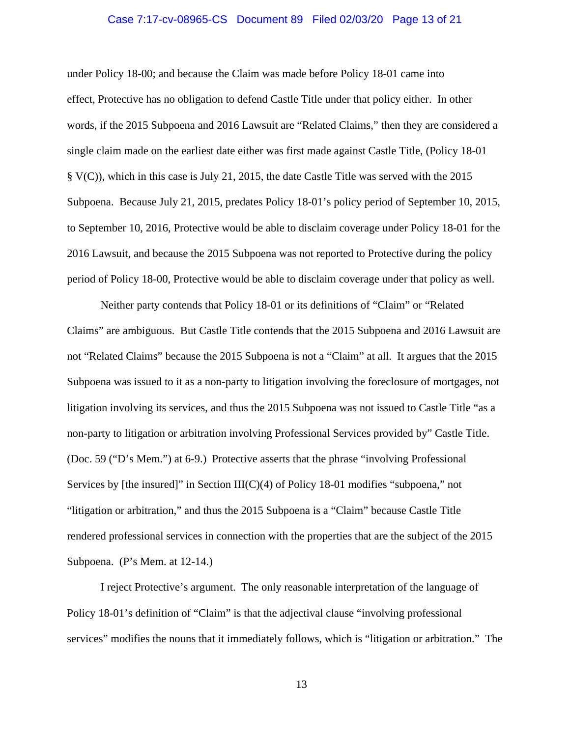#### Case 7:17-cv-08965-CS Document 89 Filed 02/03/20 Page 13 of 21

under Policy 18-00; and because the Claim was made before Policy 18-01 came into effect, Protective has no obligation to defend Castle Title under that policy either. In other words, if the 2015 Subpoena and 2016 Lawsuit are "Related Claims," then they are considered a single claim made on the earliest date either was first made against Castle Title, (Policy 18-01 § V(C)), which in this case is July 21, 2015, the date Castle Title was served with the 2015 Subpoena. Because July 21, 2015, predates Policy 18-01's policy period of September 10, 2015, to September 10, 2016, Protective would be able to disclaim coverage under Policy 18-01 for the 2016 Lawsuit, and because the 2015 Subpoena was not reported to Protective during the policy period of Policy 18-00, Protective would be able to disclaim coverage under that policy as well.

Neither party contends that Policy 18-01 or its definitions of "Claim" or "Related Claims" are ambiguous. But Castle Title contends that the 2015 Subpoena and 2016 Lawsuit are not "Related Claims" because the 2015 Subpoena is not a "Claim" at all. It argues that the 2015 Subpoena was issued to it as a non-party to litigation involving the foreclosure of mortgages, not litigation involving its services, and thus the 2015 Subpoena was not issued to Castle Title "as a non-party to litigation or arbitration involving Professional Services provided by" Castle Title. (Doc. 59 ("D's Mem.") at 6-9.) Protective asserts that the phrase "involving Professional Services by [the insured]" in Section  $III(C)(4)$  of Policy 18-01 modifies "subpoena," not "litigation or arbitration," and thus the 2015 Subpoena is a "Claim" because Castle Title rendered professional services in connection with the properties that are the subject of the 2015 Subpoena. (P's Mem. at 12-14.)

I reject Protective's argument. The only reasonable interpretation of the language of Policy 18-01's definition of "Claim" is that the adjectival clause "involving professional services" modifies the nouns that it immediately follows, which is "litigation or arbitration." The

13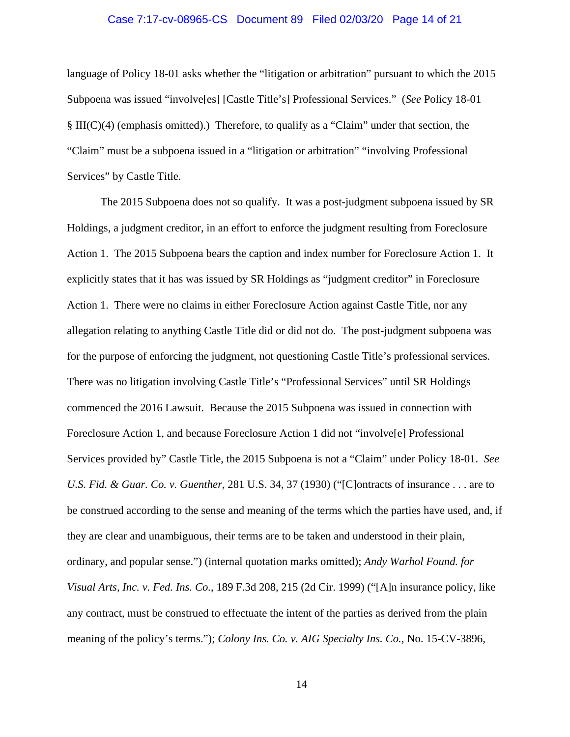# Case 7:17-cv-08965-CS Document 89 Filed 02/03/20 Page 14 of 21

language of Policy 18-01 asks whether the "litigation or arbitration" pursuant to which the 2015 Subpoena was issued "involve[es] [Castle Title's] Professional Services." (*See* Policy 18-01 § III(C)(4) (emphasis omitted).) Therefore, to qualify as a "Claim" under that section, the "Claim" must be a subpoena issued in a "litigation or arbitration" "involving Professional Services" by Castle Title.

The 2015 Subpoena does not so qualify. It was a post-judgment subpoena issued by SR Holdings, a judgment creditor, in an effort to enforce the judgment resulting from Foreclosure Action 1. The 2015 Subpoena bears the caption and index number for Foreclosure Action 1. It explicitly states that it has was issued by SR Holdings as "judgment creditor" in Foreclosure Action 1. There were no claims in either Foreclosure Action against Castle Title, nor any allegation relating to anything Castle Title did or did not do. The post-judgment subpoena was for the purpose of enforcing the judgment, not questioning Castle Title's professional services. There was no litigation involving Castle Title's "Professional Services" until SR Holdings commenced the 2016 Lawsuit. Because the 2015 Subpoena was issued in connection with Foreclosure Action 1, and because Foreclosure Action 1 did not "involve[e] Professional Services provided by" Castle Title, the 2015 Subpoena is not a "Claim" under Policy 18-01. *See U.S. Fid. & Guar. Co. v. Guenther*, 281 U.S. 34, 37 (1930) ("[C]ontracts of insurance . . . are to be construed according to the sense and meaning of the terms which the parties have used, and, if they are clear and unambiguous, their terms are to be taken and understood in their plain, ordinary, and popular sense.") (internal quotation marks omitted); *Andy Warhol Found. for Visual Arts, Inc. v. Fed. Ins. Co.*, 189 F.3d 208, 215 (2d Cir. 1999) ("[A]n insurance policy, like any contract, must be construed to effectuate the intent of the parties as derived from the plain meaning of the policy's terms."); *Colony Ins. Co. v. AIG Specialty Ins. Co.*, No. 15-CV-3896,

14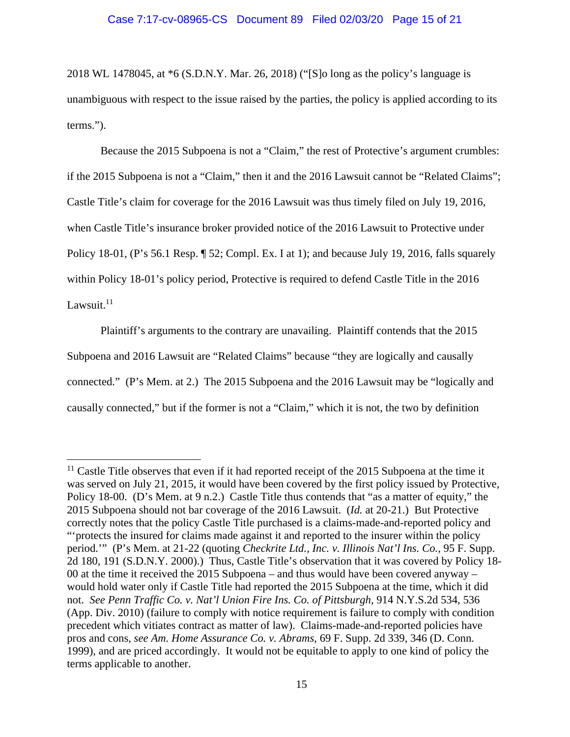#### Case 7:17-cv-08965-CS Document 89 Filed 02/03/20 Page 15 of 21

2018 WL 1478045, at \*6 (S.D.N.Y. Mar. 26, 2018) ("[S]o long as the policy's language is unambiguous with respect to the issue raised by the parties, the policy is applied according to its terms.").

Because the 2015 Subpoena is not a "Claim," the rest of Protective's argument crumbles: if the 2015 Subpoena is not a "Claim," then it and the 2016 Lawsuit cannot be "Related Claims"; Castle Title's claim for coverage for the 2016 Lawsuit was thus timely filed on July 19, 2016, when Castle Title's insurance broker provided notice of the 2016 Lawsuit to Protective under Policy 18-01, (P's 56.1 Resp. ¶ 52; Compl. Ex. I at 1); and because July 19, 2016, falls squarely within Policy 18-01's policy period, Protective is required to defend Castle Title in the 2016 Lawsuit. $11$ 

Plaintiff's arguments to the contrary are unavailing. Plaintiff contends that the 2015 Subpoena and 2016 Lawsuit are "Related Claims" because "they are logically and causally connected." (P's Mem. at 2.) The 2015 Subpoena and the 2016 Lawsuit may be "logically and causally connected," but if the former is not a "Claim," which it is not, the two by definition

 $11$  Castle Title observes that even if it had reported receipt of the 2015 Subpoena at the time it was served on July 21, 2015, it would have been covered by the first policy issued by Protective, Policy 18-00. (D's Mem. at 9 n.2.) Castle Title thus contends that "as a matter of equity," the 2015 Subpoena should not bar coverage of the 2016 Lawsuit. (*Id.* at 20-21.) But Protective correctly notes that the policy Castle Title purchased is a claims-made-and-reported policy and "'protects the insured for claims made against it and reported to the insurer within the policy period.'" (P's Mem. at 21-22 (quoting *Checkrite Ltd., Inc. v. Illinois Nat'l Ins. Co.*, 95 F. Supp. 2d 180, 191 (S.D.N.Y. 2000).) Thus, Castle Title's observation that it was covered by Policy 18- 00 at the time it received the 2015 Subpoena – and thus would have been covered anyway – would hold water only if Castle Title had reported the 2015 Subpoena at the time, which it did not. *See Penn Traffic Co. v. Nat'l Union Fire Ins. Co. of Pittsburgh*, 914 N.Y.S.2d 534, 536 (App. Div. 2010) (failure to comply with notice requirement is failure to comply with condition precedent which vitiates contract as matter of law). Claims-made-and-reported policies have pros and cons, *see Am. Home Assurance Co. v. Abrams*, 69 F. Supp. 2d 339, 346 (D. Conn. 1999), and are priced accordingly. It would not be equitable to apply to one kind of policy the terms applicable to another.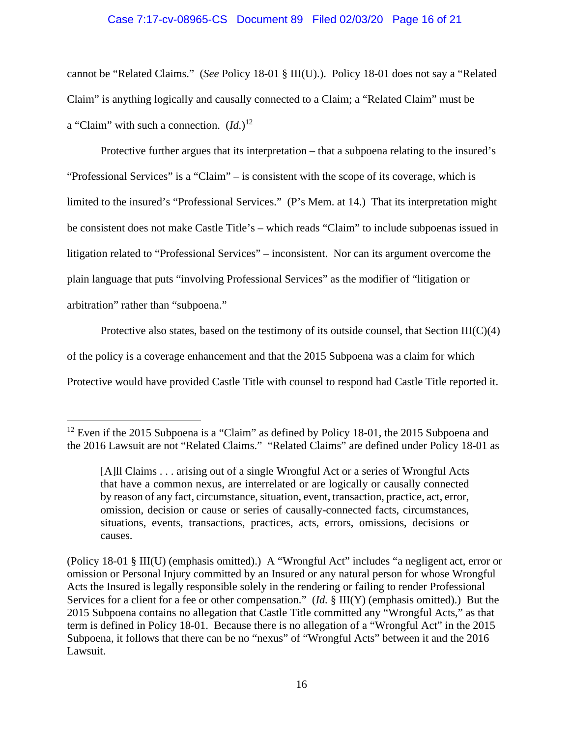### Case 7:17-cv-08965-CS Document 89 Filed 02/03/20 Page 16 of 21

cannot be "Related Claims." (*See* Policy 18-01 § III(U).). Policy 18-01 does not say a "Related Claim" is anything logically and causally connected to a Claim; a "Related Claim" must be a "Claim" with such a connection. (*Id.*) 12

Protective further argues that its interpretation – that a subpoena relating to the insured's "Professional Services" is a "Claim" – is consistent with the scope of its coverage, which is limited to the insured's "Professional Services." (P's Mem. at 14.) That its interpretation might be consistent does not make Castle Title's – which reads "Claim" to include subpoenas issued in litigation related to "Professional Services" – inconsistent. Nor can its argument overcome the plain language that puts "involving Professional Services" as the modifier of "litigation or arbitration" rather than "subpoena."

Protective also states, based on the testimony of its outside counsel, that Section  $III(C)(4)$ 

of the policy is a coverage enhancement and that the 2015 Subpoena was a claim for which

Protective would have provided Castle Title with counsel to respond had Castle Title reported it.

<sup>&</sup>lt;sup>12</sup> Even if the 2015 Subpoena is a "Claim" as defined by Policy 18-01, the 2015 Subpoena and the 2016 Lawsuit are not "Related Claims." "Related Claims" are defined under Policy 18-01 as

<sup>[</sup>A]ll Claims . . . arising out of a single Wrongful Act or a series of Wrongful Acts that have a common nexus, are interrelated or are logically or causally connected by reason of any fact, circumstance, situation, event, transaction, practice, act, error, omission, decision or cause or series of causally-connected facts, circumstances, situations, events, transactions, practices, acts, errors, omissions, decisions or causes.

<sup>(</sup>Policy 18-01 § III(U) (emphasis omitted).) A "Wrongful Act" includes "a negligent act, error or omission or Personal Injury committed by an Insured or any natural person for whose Wrongful Acts the Insured is legally responsible solely in the rendering or failing to render Professional Services for a client for a fee or other compensation." (*Id.* § III(Y) (emphasis omitted).) But the 2015 Subpoena contains no allegation that Castle Title committed any "Wrongful Acts," as that term is defined in Policy 18-01. Because there is no allegation of a "Wrongful Act" in the 2015 Subpoena, it follows that there can be no "nexus" of "Wrongful Acts" between it and the 2016 Lawsuit.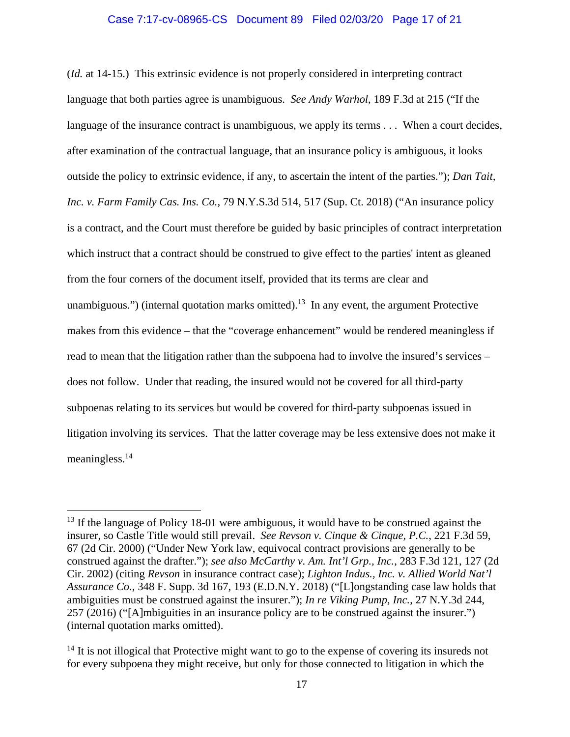### Case 7:17-cv-08965-CS Document 89 Filed 02/03/20 Page 17 of 21

(*Id.* at 14-15.) This extrinsic evidence is not properly considered in interpreting contract language that both parties agree is unambiguous. *See Andy Warhol*, 189 F.3d at 215 ("If the language of the insurance contract is unambiguous, we apply its terms . . . When a court decides, after examination of the contractual language, that an insurance policy is ambiguous, it looks outside the policy to extrinsic evidence, if any, to ascertain the intent of the parties."); *Dan Tait, Inc. v. Farm Family Cas. Ins. Co.*, 79 N.Y.S.3d 514, 517 (Sup. Ct. 2018) ("An insurance policy is a contract, and the Court must therefore be guided by basic principles of contract interpretation which instruct that a contract should be construed to give effect to the parties' intent as gleaned from the four corners of the document itself, provided that its terms are clear and unambiguous.") (internal quotation marks omitted).<sup>13</sup> In any event, the argument Protective makes from this evidence – that the "coverage enhancement" would be rendered meaningless if read to mean that the litigation rather than the subpoena had to involve the insured's services – does not follow. Under that reading, the insured would not be covered for all third-party subpoenas relating to its services but would be covered for third-party subpoenas issued in litigation involving its services. That the latter coverage may be less extensive does not make it meaningless.14

<sup>&</sup>lt;sup>13</sup> If the language of Policy 18-01 were ambiguous, it would have to be construed against the insurer, so Castle Title would still prevail. *See Revson v. Cinque & Cinque, P.C.*, 221 F.3d 59, 67 (2d Cir. 2000) ("Under New York law, equivocal contract provisions are generally to be construed against the drafter."); *see also McCarthy v. Am. Int'l Grp., Inc.*, 283 F.3d 121, 127 (2d Cir. 2002) (citing *Revson* in insurance contract case); *Lighton Indus., Inc. v. Allied World Nat'l Assurance Co.*, 348 F. Supp. 3d 167, 193 (E.D.N.Y. 2018) ("[L]ongstanding case law holds that ambiguities must be construed against the insurer."); *In re Viking Pump, Inc.*, 27 N.Y.3d 244, 257 (2016) ("[A]mbiguities in an insurance policy are to be construed against the insurer.") (internal quotation marks omitted).

 $14$  It is not illogical that Protective might want to go to the expense of covering its insureds not for every subpoena they might receive, but only for those connected to litigation in which the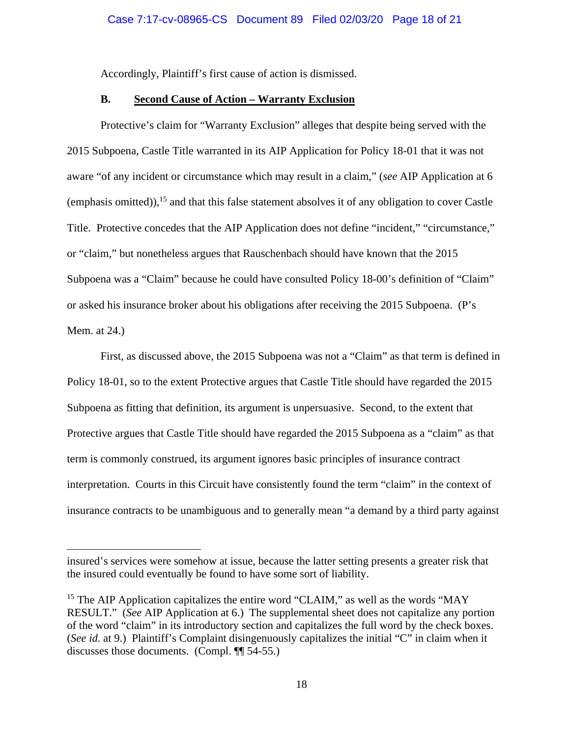Accordingly, Plaintiff's first cause of action is dismissed.

## **B. Second Cause of Action – Warranty Exclusion**

Protective's claim for "Warranty Exclusion" alleges that despite being served with the 2015 Subpoena, Castle Title warranted in its AIP Application for Policy 18-01 that it was not aware "of any incident or circumstance which may result in a claim," (*see* AIP Application at 6 (emphasis omitted)),  $^{15}$  and that this false statement absolves it of any obligation to cover Castle Title. Protective concedes that the AIP Application does not define "incident," "circumstance," or "claim," but nonetheless argues that Rauschenbach should have known that the 2015 Subpoena was a "Claim" because he could have consulted Policy 18-00's definition of "Claim" or asked his insurance broker about his obligations after receiving the 2015 Subpoena. (P's Mem. at 24.)

First, as discussed above, the 2015 Subpoena was not a "Claim" as that term is defined in Policy 18-01, so to the extent Protective argues that Castle Title should have regarded the 2015 Subpoena as fitting that definition, its argument is unpersuasive. Second, to the extent that Protective argues that Castle Title should have regarded the 2015 Subpoena as a "claim" as that term is commonly construed, its argument ignores basic principles of insurance contract interpretation. Courts in this Circuit have consistently found the term "claim" in the context of insurance contracts to be unambiguous and to generally mean "a demand by a third party against

insured's services were somehow at issue, because the latter setting presents a greater risk that the insured could eventually be found to have some sort of liability.

<sup>&</sup>lt;sup>15</sup> The AIP Application capitalizes the entire word "CLAIM," as well as the words "MAY RESULT." (*See* AIP Application at 6.) The supplemental sheet does not capitalize any portion of the word "claim" in its introductory section and capitalizes the full word by the check boxes. (*See id.* at 9.) Plaintiff's Complaint disingenuously capitalizes the initial "C" in claim when it discusses those documents. (Compl. ¶¶ 54-55.)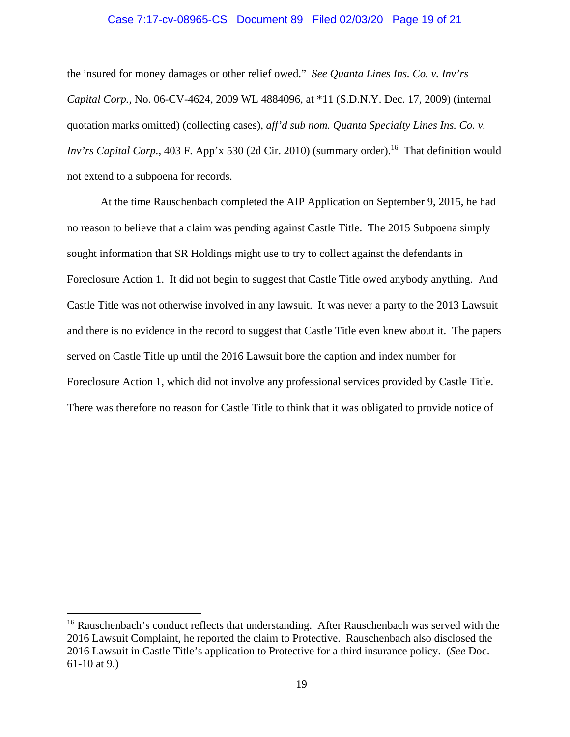# Case 7:17-cv-08965-CS Document 89 Filed 02/03/20 Page 19 of 21

the insured for money damages or other relief owed." *See Quanta Lines Ins. Co. v. Inv'rs Capital Corp.*, No. 06-CV-4624, 2009 WL 4884096, at \*11 (S.D.N.Y. Dec. 17, 2009) (internal quotation marks omitted) (collecting cases), *aff'd sub nom. Quanta Specialty Lines Ins. Co. v. Inv'rs Capital Corp.*, 403 F. App'x 530 (2d Cir. 2010) (summary order).<sup>16</sup> That definition would not extend to a subpoena for records.

At the time Rauschenbach completed the AIP Application on September 9, 2015, he had no reason to believe that a claim was pending against Castle Title. The 2015 Subpoena simply sought information that SR Holdings might use to try to collect against the defendants in Foreclosure Action 1. It did not begin to suggest that Castle Title owed anybody anything. And Castle Title was not otherwise involved in any lawsuit. It was never a party to the 2013 Lawsuit and there is no evidence in the record to suggest that Castle Title even knew about it. The papers served on Castle Title up until the 2016 Lawsuit bore the caption and index number for Foreclosure Action 1, which did not involve any professional services provided by Castle Title. There was therefore no reason for Castle Title to think that it was obligated to provide notice of

 $16$  Rauschenbach's conduct reflects that understanding. After Rauschenbach was served with the 2016 Lawsuit Complaint, he reported the claim to Protective. Rauschenbach also disclosed the 2016 Lawsuit in Castle Title's application to Protective for a third insurance policy. (*See* Doc. 61-10 at 9.)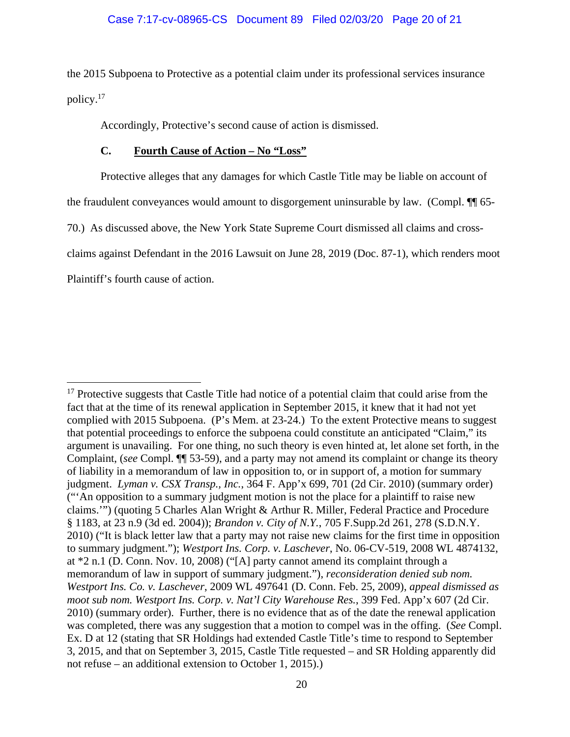the 2015 Subpoena to Protective as a potential claim under its professional services insurance policy.17

Accordingly, Protective's second cause of action is dismissed.

## **C. Fourth Cause of Action – No "Loss"**

Protective alleges that any damages for which Castle Title may be liable on account of

the fraudulent conveyances would amount to disgorgement uninsurable by law. (Compl. ¶¶ 65-

70.) As discussed above, the New York State Supreme Court dismissed all claims and cross-

claims against Defendant in the 2016 Lawsuit on June 28, 2019 (Doc. 87-1), which renders moot

Plaintiff's fourth cause of action.

<sup>&</sup>lt;sup>17</sup> Protective suggests that Castle Title had notice of a potential claim that could arise from the fact that at the time of its renewal application in September 2015, it knew that it had not yet complied with 2015 Subpoena. (P's Mem. at 23-24.) To the extent Protective means to suggest that potential proceedings to enforce the subpoena could constitute an anticipated "Claim," its argument is unavailing. For one thing, no such theory is even hinted at, let alone set forth, in the Complaint, (*see* Compl. ¶¶ 53-59), and a party may not amend its complaint or change its theory of liability in a memorandum of law in opposition to, or in support of, a motion for summary judgment. *Lyman v. CSX Transp., Inc.*, 364 F. App'x 699, 701 (2d Cir. 2010) (summary order) ("'An opposition to a summary judgment motion is not the place for a plaintiff to raise new claims.'") (quoting 5 Charles Alan Wright & Arthur R. Miller, Federal Practice and Procedure § 1183, at 23 n.9 (3d ed. 2004)); *Brandon v. City of N.Y.*, 705 F.Supp.2d 261, 278 (S.D.N.Y. 2010) ("It is black letter law that a party may not raise new claims for the first time in opposition to summary judgment."); *Westport Ins. Corp. v. Laschever*, No. 06-CV-519, 2008 WL 4874132, at \*2 n.1 (D. Conn. Nov. 10, 2008) ("[A] party cannot amend its complaint through a memorandum of law in support of summary judgment."), *reconsideration denied sub nom. Westport Ins. Co. v. Laschever*, 2009 WL 497641 (D. Conn. Feb. 25, 2009), *appeal dismissed as moot sub nom. Westport Ins. Corp. v. Nat'l City Warehouse Res.*, 399 Fed. App'x 607 (2d Cir. 2010) (summary order). Further, there is no evidence that as of the date the renewal application was completed, there was any suggestion that a motion to compel was in the offing. (*See* Compl. Ex. D at 12 (stating that SR Holdings had extended Castle Title's time to respond to September 3, 2015, and that on September 3, 2015, Castle Title requested – and SR Holding apparently did not refuse – an additional extension to October 1, 2015).)